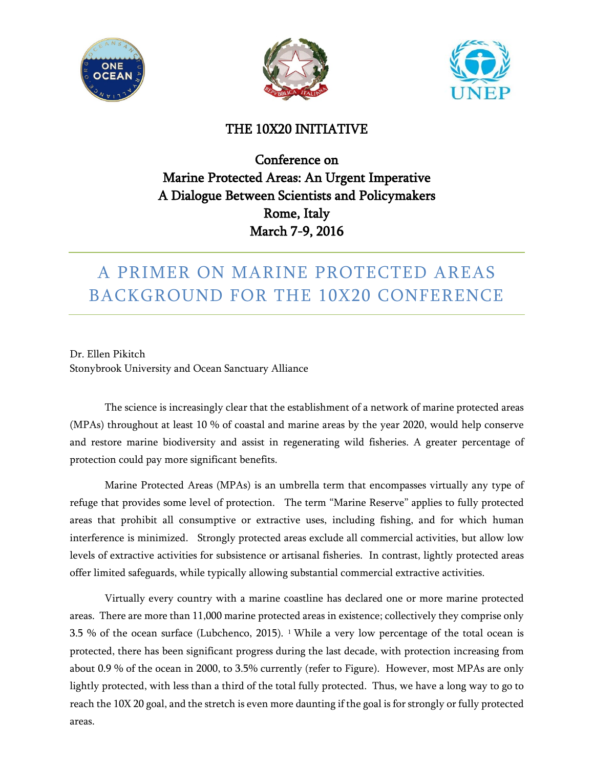





### THE 10X20 INITIATIVE

## Conference on Marine Protected Areas: An Urgent Imperative A Dialogue Between Scientists and Policymakers Rome, Italy March 7-9, 2016

# A PRIMER ON MARINE PROTECTED AREAS BACKGROUND FOR THE 10X20 CONFERENCE

Dr. Ellen Pikitch Stonybrook University and Ocean Sanctuary Alliance

The science is increasingly clear that the establishment of a network of marine protected areas (MPAs) throughout at least 10 % of coastal and marine areas by the year 2020, would help conserve and restore marine biodiversity and assist in regenerating wild fisheries. A greater percentage of protection could pay more significant benefits.

Marine Protected Areas (MPAs) is an umbrella term that encompasses virtually any type of refuge that provides some level of protection. The term "Marine Reserve" applies to fully protected areas that prohibit all consumptive or extractive uses, including fishing, and for which human interference is minimized. Strongly protected areas exclude all commercial activities, but allow low levels of extractive activities for subsistence or artisanal fisheries. In contrast, lightly protected areas offer limited safeguards, while typically allowing substantial commercial extractive activities.

Virtually every country with a marine coastline has declared one or more marine protected areas. There are more than 11,000 marine protected areas in existence; collectively they comprise only 3.5 % of the ocean surface (Lubchenco, 2015). [1](#page-5-0) While a very low percentage of the total ocean is protected, there has been significant progress during the last decade, with protection increasing from about 0.9 % of the ocean in 2000, to 3.5% currently (refer to Figure). However, most MPAs are only lightly protected, with less than a third of the total fully protected. Thus, we have a long way to go to reach the 10X 20 goal, and the stretch is even more daunting if the goal is for strongly or fully protected areas.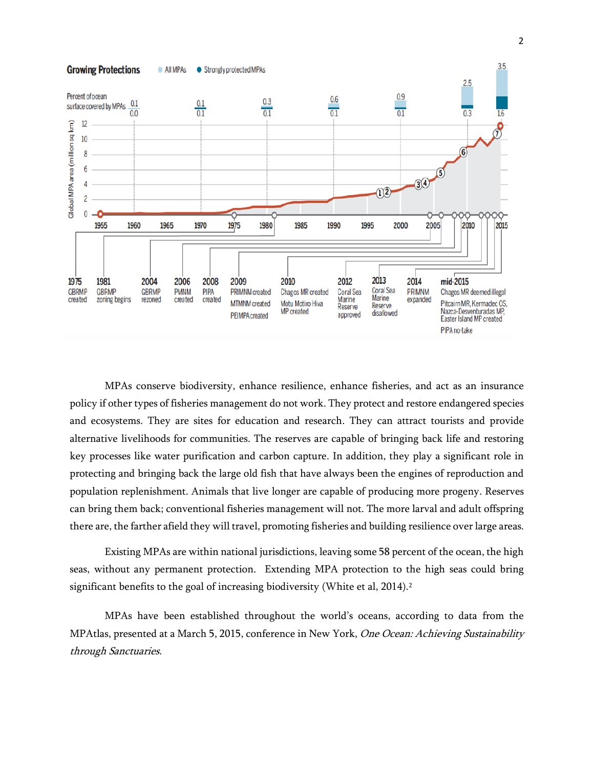

MPAs conserve biodiversity, enhance resilience, enhance fisheries, and act as an insurance policy if other types of fisheries management do not work. They protect and restore endangered species and ecosystems. They are sites for education and research. They can attract tourists and provide alternative livelihoods for communities. The reserves are capable of bringing back life and restoring key processes like water purification and carbon capture. In addition, they play a significant role in protecting and bringing back the large old fish that have always been the engines of reproduction and population replenishment. Animals that live longer are capable of producing more progeny. Reserves can bring them back; conventional fisheries management will not. The more larval and adult offspring there are, the farther afield they will travel, promoting fisheries and building resilience over large areas.

Existing MPAs are within national jurisdictions, leaving some 58 percent of the ocean, the high seas, without any permanent protection. Extending MPA protection to the high seas could bring significant benefits to the goal of increasing biodiversity (White et al, [2](#page-5-1)014).<sup>2</sup>

MPAs have been established throughout the world's oceans, according to data from the MPAtlas, presented at a March 5, 2015, conference in New York, One Ocean: Achieving Sustainability through Sanctuaries.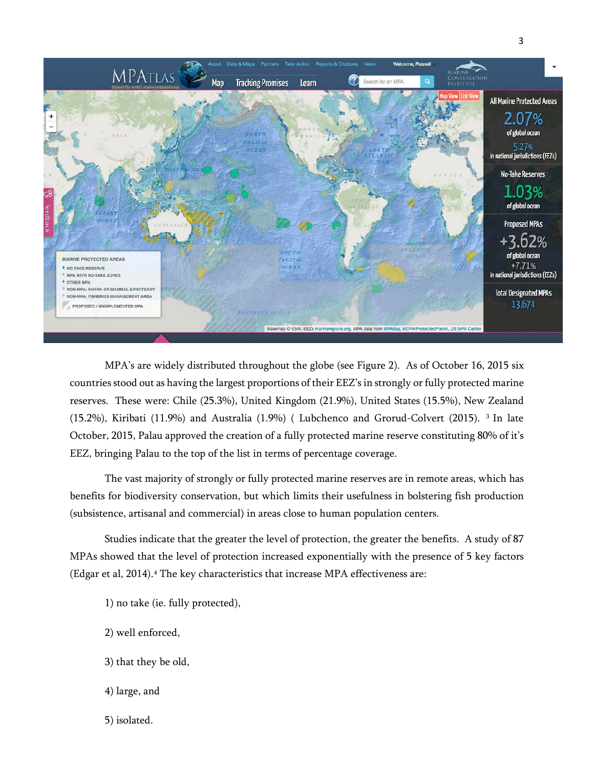

MPA's are widely distributed throughout the globe (see Figure 2). As of October 16, 2015 six countries stood out as having the largest proportions of their EEZ's in strongly or fully protected marine reserves. These were: Chile (25.3%), United Kingdom (21.9%), United States (15.5%), New Zealand (15.2%), Kiribati (11.9%) and Australia (1.9%) ( Lubchenco and Grorud-Colvert (2015). [3](#page-5-2) In late October, 2015, Palau approved the creation of a fully protected marine reserve constituting 80% of it's EEZ, bringing Palau to the top of the list in terms of percentage coverage.

The vast majority of strongly or fully protected marine reserves are in remote areas, which has benefits for biodiversity conservation, but which limits their usefulness in bolstering fish production (subsistence, artisanal and commercial) in areas close to human population centers.

Studies indicate that the greater the level of protection, the greater the benefits. A study of 87 MPAs showed that the level of protection increased exponentially with the presence of 5 key factors (Edgar et al, 201[4](#page-5-3)).<sup>4</sup> The key characteristics that increase MPA effectiveness are:

- 1) no take (ie. fully protected),
- 2) well enforced,
- 3) that they be old,
- 4) large, and
- 5) isolated.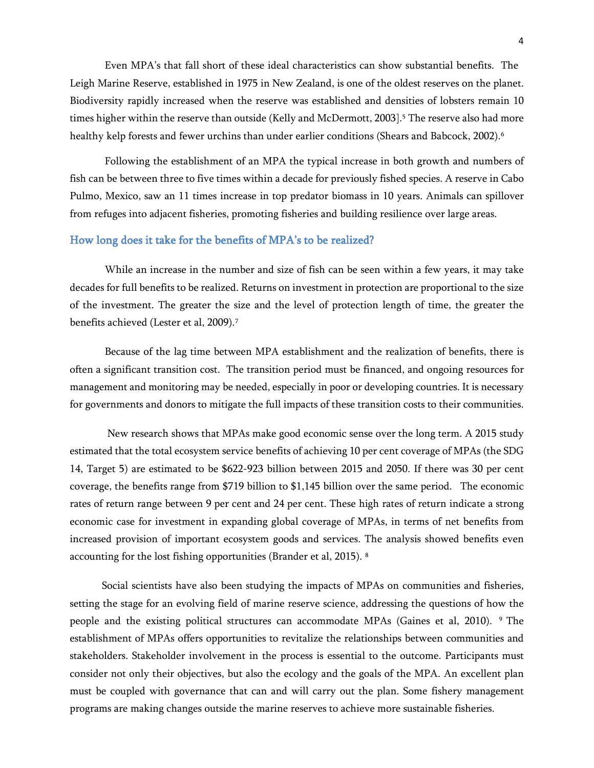Even MPA's that fall short of these ideal characteristics can show substantial benefits. The Leigh Marine Reserve, established in 1975 in New Zealand, is one of the oldest reserves on the planet. Biodiversity rapidly increased when the reserve was established and densities of lobsters remain 10 times higher within the reserve than outside (Kelly and McDermott, 2003].<sup>[5](#page-5-4)</sup> The reserve also had more healthy kelp forests and fewer urchins than under earlier conditions (Shears and Babcock, 2002).<sup>[6](#page-5-5)</sup>

Following the establishment of an MPA the typical increase in both growth and numbers of fish can be between three to five times within a decade for previously fished species. A reserve in Cabo Pulmo, Mexico, saw an 11 times increase in top predator biomass in 10 years. Animals can spillover from refuges into adjacent fisheries, promoting fisheries and building resilience over large areas.

### How long does it take for the benefits of MPA's to be realized?

While an increase in the number and size of fish can be seen within a few years, it may take decades for full benefits to be realized. Returns on investment in protection are proportional to the size of the investment. The greater the size and the level of protection length of time, the greater the benefits achieved (Lester et al, 2009).<sup>[7](#page-5-6)</sup>

Because of the lag time between MPA establishment and the realization of benefits, there is often a significant transition cost. The transition period must be financed, and ongoing resources for management and monitoring may be needed, especially in poor or developing countries. It is necessary for governments and donors to mitigate the full impacts of these transition costs to their communities.

New research shows that MPAs make good economic sense over the long term. A 2015 study estimated that the total ecosystem service benefits of achieving 10 per cent coverage of MPAs (the SDG 14, Target 5) are estimated to be \$622-923 billion between 2015 and 2050. If there was 30 per cent coverage, the benefits range from \$719 billion to \$1,145 billion over the same period. The economic rates of return range between 9 per cent and 24 per cent. These high rates of return indicate a strong economic case for investment in expanding global coverage of MPAs, in terms of net benefits from increased provision of important ecosystem goods and services. The analysis showed benefits even accounting for the lost fishing opportunities (Brander et al, 2015). [8](#page-5-7)

 Social scientists have also been studying the impacts of MPAs on communities and fisheries, setting the stage for an evolving field of marine reserve science, addressing the questions of how the people and the existing political structures can accommodate MPAs (Gaines et al, 2010). [9](#page-5-8) The establishment of MPAs offers opportunities to revitalize the relationships between communities and stakeholders. Stakeholder involvement in the process is essential to the outcome. Participants must consider not only their objectives, but also the ecology and the goals of the MPA. An excellent plan must be coupled with governance that can and will carry out the plan. Some fishery management programs are making changes outside the marine reserves to achieve more sustainable fisheries.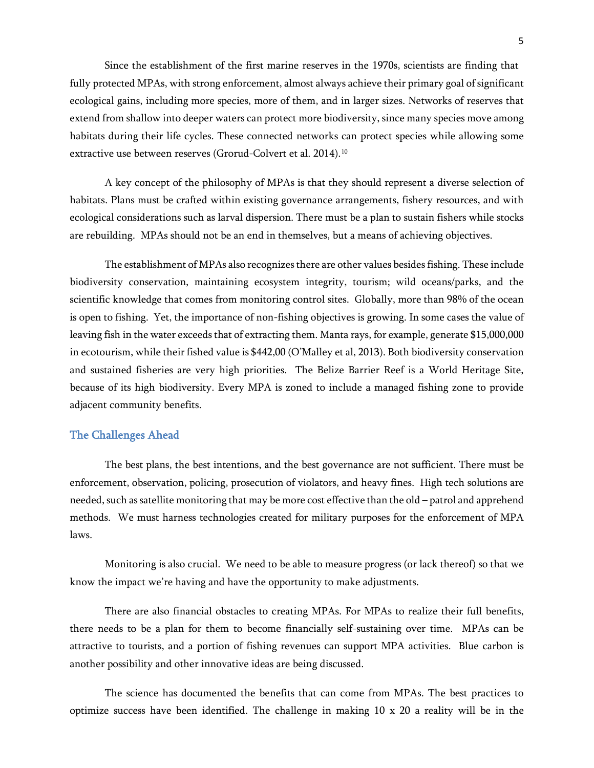Since the establishment of the first marine reserves in the 1970s, scientists are finding that fully protected MPAs, with strong enforcement, almost always achieve their primary goal of significant ecological gains, including more species, more of them, and in larger sizes. Networks of reserves that extend from shallow into deeper waters can protect more biodiversity, since many species move among habitats during their life cycles. These connected networks can protect species while allowing some extractive use between reserves (Grorud-Colvert et al. 2014).<sup>[10](#page-5-9)</sup>

A key concept of the philosophy of MPAs is that they should represent a diverse selection of habitats. Plans must be crafted within existing governance arrangements, fishery resources, and with ecological considerations such as larval dispersion. There must be a plan to sustain fishers while stocks are rebuilding. MPAs should not be an end in themselves, but a means of achieving objectives.

The establishment of MPAs also recognizes there are other values besides fishing. These include biodiversity conservation, maintaining ecosystem integrity, tourism; wild oceans/parks, and the scientific knowledge that comes from monitoring control sites. Globally, more than 98% of the ocean is open to fishing. Yet, the importance of non-fishing objectives is growing. In some cases the value of leaving fish in the water exceeds that of extracting them. Manta rays, for example, generate \$15,000,000 in ecotourism, while their fished value is \$442,00 (O'Malley et al, 2013). Both biodiversity conservation and sustained fisheries are very high priorities. The Belize Barrier Reef is a World Heritage Site, because of its high biodiversity. Every MPA is zoned to include a managed fishing zone to provide adjacent community benefits.

#### The Challenges Ahead

The best plans, the best intentions, and the best governance are not sufficient. There must be enforcement, observation, policing, prosecution of violators, and heavy fines. High tech solutions are needed, such as satellite monitoring that may be more cost effective than the old – patrol and apprehend methods. We must harness technologies created for military purposes for the enforcement of MPA laws.

Monitoring is also crucial. We need to be able to measure progress (or lack thereof) so that we know the impact we're having and have the opportunity to make adjustments.

There are also financial obstacles to creating MPAs. For MPAs to realize their full benefits, there needs to be a plan for them to become financially self-sustaining over time. MPAs can be attractive to tourists, and a portion of fishing revenues can support MPA activities. Blue carbon is another possibility and other innovative ideas are being discussed.

The science has documented the benefits that can come from MPAs. The best practices to optimize success have been identified. The challenge in making  $10 \times 20$  a reality will be in the